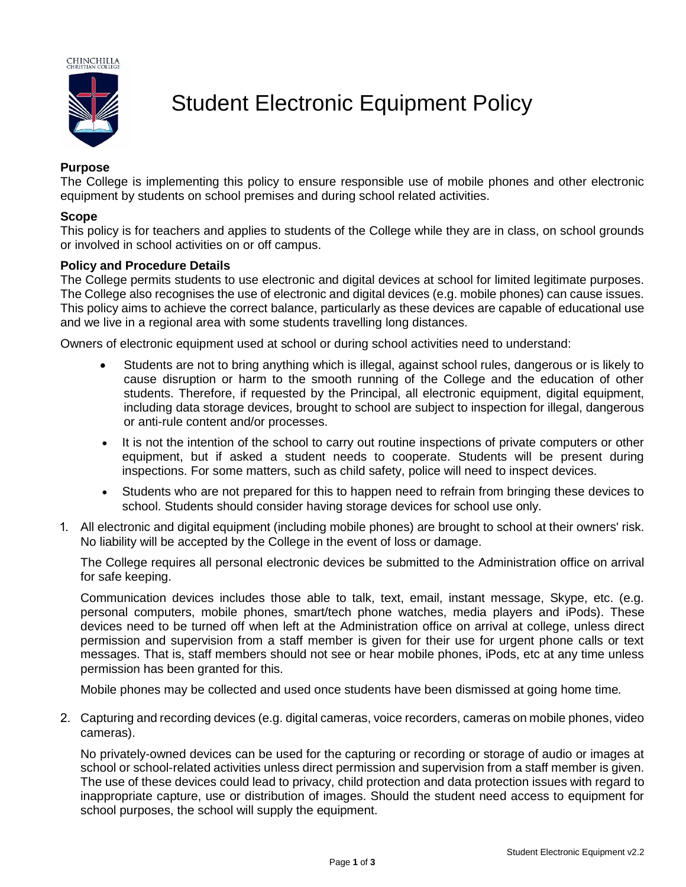

# Student Electronic Equipment Policy

## **Purpose**

The College is implementing this policy to ensure responsible use of mobile phones and other electronic equipment by students on school premises and during school related activities.

#### **Scope**

This policy is for teachers and applies to students of the College while they are in class, on school grounds or involved in school activities on or off campus.

#### **Policy and Procedure Details**

The College permits students to use electronic and digital devices at school for limited legitimate purposes. The College also recognises the use of electronic and digital devices (e.g. mobile phones) can cause issues. This policy aims to achieve the correct balance, particularly as these devices are capable of educational use and we live in a regional area with some students travelling long distances.

Owners of electronic equipment used at school or during school activities need to understand:

- Students are not to bring anything which is illegal, against school rules, dangerous or is likely to cause disruption or harm to the smooth running of the College and the education of other students. Therefore, if requested by the Principal, all electronic equipment, digital equipment, including data storage devices, brought to school are subject to inspection for illegal, dangerous or anti-rule content and/or processes.
- It is not the intention of the school to carry out routine inspections of private computers or other equipment, but if asked a student needs to cooperate. Students will be present during inspections. For some matters, such as child safety, police will need to inspect devices.
- Students who are not prepared for this to happen need to refrain from bringing these devices to school. Students should consider having storage devices for school use only.
- 1. All electronic and digital equipment (including mobile phones) are brought to school at their owners' risk. No liability will be accepted by the College in the event of loss or damage.

The College requires all personal electronic devices be submitted to the Administration office on arrival for safe keeping.

Communication devices includes those able to talk, text, email, instant message, Skype, etc. (e.g. personal computers, mobile phones, smart/tech phone watches, media players and iPods). These devices need to be turned off when left at the Administration office on arrival at college, unless direct permission and supervision from a staff member is given for their use for urgent phone calls or text messages. That is, staff members should not see or hear mobile phones, iPods, etc at any time unless permission has been granted for this.

Mobile phones may be collected and used once students have been dismissed at going home time*.*

2. Capturing and recording devices (e.g. digital cameras, voice recorders, cameras on mobile phones, video cameras).

No privately-owned devices can be used for the capturing or recording or storage of audio or images at school or school-related activities unless direct permission and supervision from a staff member is given. The use of these devices could lead to privacy, child protection and data protection issues with regard to inappropriate capture, use or distribution of images. Should the student need access to equipment for school purposes, the school will supply the equipment.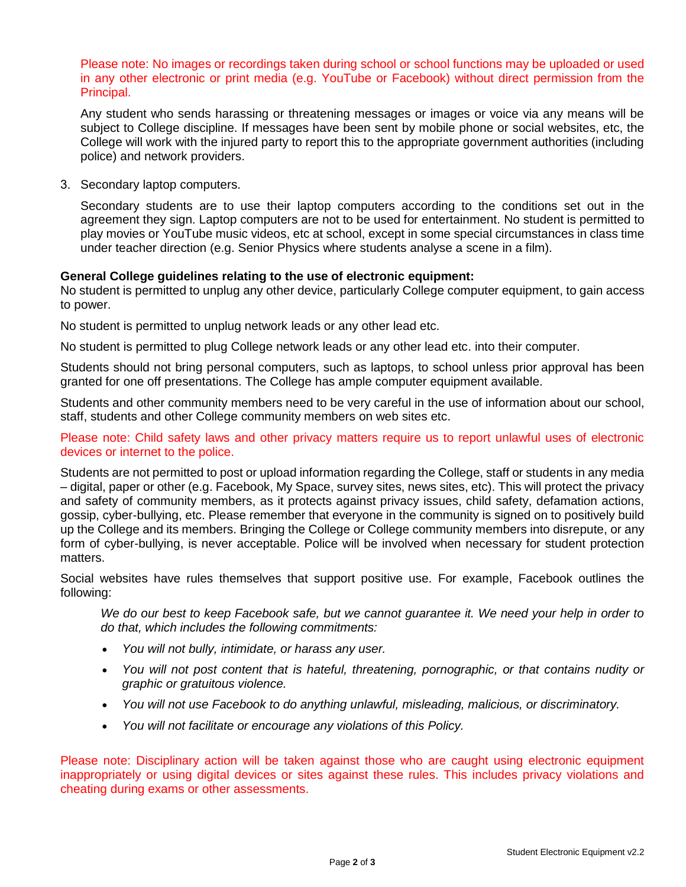Please note: No images or recordings taken during school or school functions may be uploaded or used in any other electronic or print media (e.g. YouTube or Facebook) without direct permission from the Principal.

Any student who sends harassing or threatening messages or images or voice via any means will be subject to College discipline. If messages have been sent by mobile phone or social websites, etc, the College will work with the injured party to report this to the appropriate government authorities (including police) and network providers.

3. Secondary laptop computers.

Secondary students are to use their laptop computers according to the conditions set out in the agreement they sign. Laptop computers are not to be used for entertainment. No student is permitted to play movies or YouTube music videos, etc at school, except in some special circumstances in class time under teacher direction (e.g. Senior Physics where students analyse a scene in a film).

### **General College guidelines relating to the use of electronic equipment:**

No student is permitted to unplug any other device, particularly College computer equipment, to gain access to power.

No student is permitted to unplug network leads or any other lead etc.

No student is permitted to plug College network leads or any other lead etc. into their computer.

Students should not bring personal computers, such as laptops, to school unless prior approval has been granted for one off presentations. The College has ample computer equipment available.

Students and other community members need to be very careful in the use of information about our school, staff, students and other College community members on web sites etc.

Please note: Child safety laws and other privacy matters require us to report unlawful uses of electronic devices or internet to the police.

Students are not permitted to post or upload information regarding the College, staff or students in any media – digital, paper or other (e.g. Facebook, My Space, survey sites, news sites, etc). This will protect the privacy and safety of community members, as it protects against privacy issues, child safety, defamation actions, gossip, cyber-bullying, etc. Please remember that everyone in the community is signed on to positively build up the College and its members. Bringing the College or College community members into disrepute, or any form of cyber-bullying, is never acceptable. Police will be involved when necessary for student protection matters.

Social websites have rules themselves that support positive use. For example, Facebook outlines the following:

*We do our best to keep Facebook safe, but we cannot guarantee it. We need your help in order to do that, which includes the following commitments:*

- *You will not bully, intimidate, or harass any user.*
- *You will not post content that is hateful, threatening, pornographic, or that contains nudity or graphic or gratuitous violence.*
- *You will not use Facebook to do anything unlawful, misleading, malicious, or discriminatory.*
- *You will not facilitate or encourage any violations of this Policy.*

Please note: Disciplinary action will be taken against those who are caught using electronic equipment inappropriately or using digital devices or sites against these rules. This includes privacy violations and cheating during exams or other assessments.